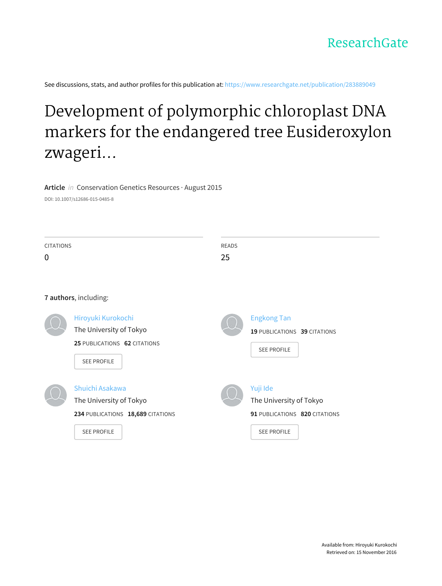

See discussions, stats, and author profiles for this publication at: [https://www.researchgate.net/publication/283889049](https://www.researchgate.net/publication/283889049_Development_of_polymorphic_chloroplast_DNA_markers_for_the_endangered_tree_Eusideroxylon_zwageri_through_chloroplast_isolation_and_next-generation_sequencing?enrichId=rgreq-9d277c482fd9bcf8e1f781c98d862cf4-XXX&enrichSource=Y292ZXJQYWdlOzI4Mzg4OTA0OTtBUzozODM3OTkwNzk3ODQ0NDhAMTQ2ODUxNjIzOTIwOA%3D%3D&el=1_x_2)

# Development of polymorphic chloroplast DNA markers for the endangered tree Eusideroxylon zwageri...

**Article** in Conservation Genetics Resources · August 2015

DOI: 10.1007/s12686-015-0485-8

| <b>CITATIONS</b> |                                                                                                       | <b>READS</b><br>25 |                                                                                            |
|------------------|-------------------------------------------------------------------------------------------------------|--------------------|--------------------------------------------------------------------------------------------|
|                  | 7 authors, including:                                                                                 |                    |                                                                                            |
|                  | Hiroyuki Kurokochi<br>The University of Tokyo<br>25 PUBLICATIONS 62 CITATIONS<br><b>SEE PROFILE</b>   |                    | <b>Engkong Tan</b><br>19 PUBLICATIONS 39 CITATIONS<br><b>SEE PROFILE</b>                   |
|                  | Shuichi Asakawa<br>The University of Tokyo<br>234 PUBLICATIONS 18,689 CITATIONS<br><b>SEE PROFILE</b> |                    | Yuji Ide<br>The University of Tokyo<br>91 PUBLICATIONS 820 CITATIONS<br><b>SEE PROFILE</b> |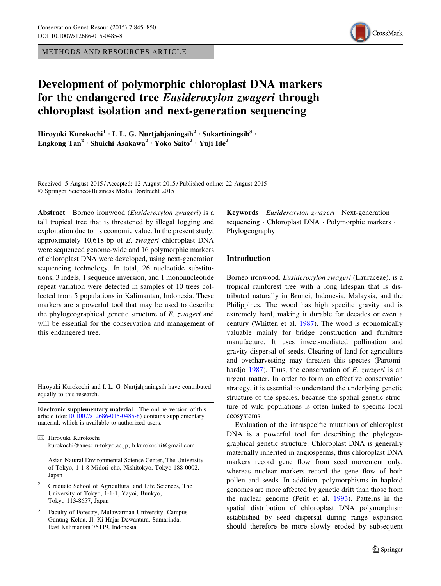METHODS AND RESOURCES ARTICLE



# Development of polymorphic chloroplast DNA markers for the endangered tree Eusideroxylon zwageri through chloroplast isolation and next-generation sequencing

Hiroyuki Kurokochi<sup>1</sup> • I. L. G. Nurtjahjaningsih<sup>2</sup> • Sukartiningsih<sup>3</sup> • Engkong  $Tan^2 \cdot Shuichi Asakawa^2 \cdot Yoko Saito^2 \cdot Yuii Ide^2$ 

Received: 5 August 2015 / Accepted: 12 August 2015 / Published online: 22 August 2015 - Springer Science+Business Media Dordrecht 2015

Abstract Borneo ironwood (Eusideroxylon zwageri) is a tall tropical tree that is threatened by illegal logging and exploitation due to its economic value. In the present study, approximately 10,618 bp of E. zwageri chloroplast DNA were sequenced genome-wide and 16 polymorphic markers of chloroplast DNA were developed, using next-generation sequencing technology. In total, 26 nucleotide substitutions, 3 indels, 1 sequence inversion, and 1 mononucleotide repeat variation were detected in samples of 10 trees collected from 5 populations in Kalimantan, Indonesia. These markers are a powerful tool that may be used to describe the phylogeographical genetic structure of E. zwageri and will be essential for the conservation and management of this endangered tree.

Hiroyuki Kurokochi and I. L. G. Nurtjahjaningsih have contributed equally to this research.

Electronic supplementary material The online version of this article (doi:[10.1007/s12686-015-0485-8\)](http://dx.doi.org/10.1007/s12686-015-0485-8) contains supplementary material, which is available to authorized users.

& Hiroyuki Kurokochi kurokochi@anesc.u-tokyo.ac.jp; h.kurokochi@gmail.com

- <sup>1</sup> Asian Natural Environmental Science Center, The University of Tokyo, 1-1-8 Midori-cho, Nishitokyo, Tokyo 188-0002, Japan
- <sup>2</sup> Graduate School of Agricultural and Life Sciences, The University of Tokyo, 1-1-1, Yayoi, Bunkyo, Tokyo 113-8657, Japan
- <sup>3</sup> Faculty of Forestry, Mulawarman University, Campus Gunung Kelua, Jl. Ki Hajar Dewantara, Samarinda, East Kalimantan 75119, Indonesia

Keywords Eusideroxylon zwageri · Next-generation sequencing · Chloroplast DNA · Polymorphic markers · Phylogeography

## Introduction

Borneo ironwood, Eusideroxylon zwageri (Lauraceae), is a tropical rainforest tree with a long lifespan that is distributed naturally in Brunei, Indonesia, Malaysia, and the Philippines. The wood has high specific gravity and is extremely hard, making it durable for decades or even a century (Whitten et al. [1987](#page-6-0)). The wood is economically valuable mainly for bridge construction and furniture manufacture. It uses insect-mediated pollination and gravity dispersal of seeds. Clearing of land for agriculture and overharvesting may threaten this species (Partomi-hardjo [1987\)](#page-6-0). Thus, the conservation of E. zwageri is an urgent matter. In order to form an effective conservation strategy, it is essential to understand the underlying genetic structure of the species, because the spatial genetic structure of wild populations is often linked to specific local ecosystems.

Evaluation of the intraspecific mutations of chloroplast DNA is a powerful tool for describing the phylogeographical genetic structure. Chloroplast DNA is generally maternally inherited in angiosperms, thus chloroplast DNA markers record gene flow from seed movement only, whereas nuclear markers record the gene flow of both pollen and seeds. In addition, polymorphisms in haploid genomes are more affected by genetic drift than those from the nuclear genome (Petit et al. [1993](#page-6-0)). Patterns in the spatial distribution of chloroplast DNA polymorphism established by seed dispersal during range expansion should therefore be more slowly eroded by subsequent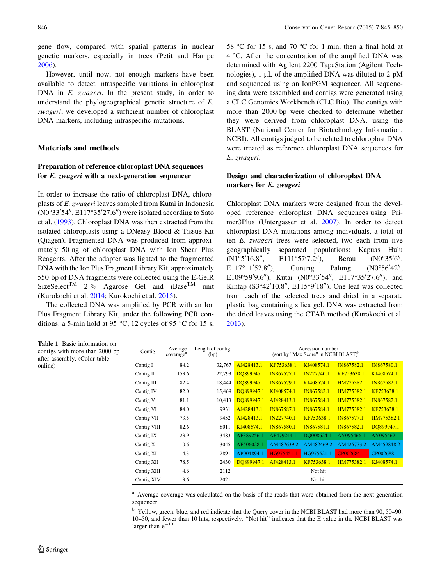<span id="page-2-0"></span>gene flow, compared with spatial patterns in nuclear genetic markers, especially in trees (Petit and Hampe [2006\)](#page-6-0).

However, until now, not enough markers have been available to detect intraspecific variations in chloroplast DNA in E. *zwageri*. In the present study, in order to understand the phylogeographical genetic structure of E. zwageri, we developed a sufficient number of chloroplast DNA markers, including intraspecific mutations.

#### Materials and methods

## Preparation of reference chloroplast DNA sequences for E. zwageri with a next-generation sequencer

In order to increase the ratio of chloroplast DNA, chloroplasts of E. zwageri leaves sampled from Kutai in Indonesia  $(NO°33'54'', EL17°35'27.6'')$  were isolated according to Sato et al. [\(1993](#page-6-0)). Chloroplast DNA was then extracted from the isolated chloroplasts using a DNeasy Blood & Tissue Kit (Qiagen). Fragmented DNA was produced from approximately 50 ng of chloroplast DNA with Ion Shear Plus Reagents. After the adapter was ligated to the fragmented DNA with the Ion Plus Fragment Library Kit, approximately 550 bp of DNA fragments were collected using the E-GelR SizeSelect<sup>TM</sup> 2 % Agarose Gel and iBase<sup>TM</sup> unit (Kurokochi et al. [2014;](#page-6-0) Kurokochi et al. [2015](#page-6-0)).

The collected DNA was amplified by PCR with an Ion Plus Fragment Library Kit, under the following PCR conditions: a 5-min hold at 95 °C, 12 cycles of 95 °C for 15 s, 58 °C for 15 s, and 70 °C for 1 min, then a final hold at  $4^{\circ}$ C. After the concentration of the amplified DNA was determined with Agilent 2200 TapeStation (Agilent Technologies),  $1 \mu L$  of the amplified DNA was diluted to  $2 \mu M$ and sequenced using an IonPGM sequencer. All sequencing data were assembled and contigs were generated using a CLC Genomics Workbench (CLC Bio). The contigs with more than 2000 bp were checked to determine whether they were derived from chloroplast DNA, using the BLAST (National Center for Biotechnology Information, NCBI). All contigs judged to be related to chloroplast DNA were treated as reference chloroplast DNA sequences for E. zwageri.

# Design and characterization of chloroplast DNA markers for E. zwageri

Chloroplast DNA markers were designed from the developed reference chloroplast DNA sequences using Primer3Plus (Untergasser et al. [2007\)](#page-6-0). In order to detect chloroplast DNA mutations among individuals, a total of ten E. zwageri trees were selected, two each from five geographically separated populations: Kapuas Hulu  $(N1°5'16.8",$  $E111°57'7.2'$ , 7.2"), Berau (N0°35'6", E117°11′52.8″), 52.8"), Gunung Palung  $(NO°56'42",$ E109°59'9.6"), Kutai (N0°33'54", E117°35'27.6"), and Kintap (S3°42'10.8", E115°9'18"). One leaf was collected from each of the selected trees and dried in a separate plastic bag containing silica gel. DNA was extracted from the dried leaves using the CTAB method (Kurokochi et al. [2013](#page-5-0)).

Table 1 Basic information on contigs with more than 2000 bp after assembly. (Color table online)

| Contig      | Average<br>coverage <sup>a</sup> | Length of contig<br>(bp) |            |                   | Accession number<br>(sort by "Max Score" in NCBI BLAST) <sup>b</sup> |            |            |
|-------------|----------------------------------|--------------------------|------------|-------------------|----------------------------------------------------------------------|------------|------------|
| Contig I    | 84.2                             | 32,767                   | AJ428413.1 | KF753638.1        | KJ408574.1                                                           | JN867582.1 | JN867580.1 |
| Contig II   | 153.6                            | 22,793                   | DO899947.1 | <b>IN867577.1</b> | JN227740.1                                                           | KF753638.1 | KJ408574.1 |
| Contig III  | 82.4                             | 18,444                   | DO899947.1 | JN867579.1        | KJ408574.1                                                           | HM775382.1 | JN867582.1 |
| Contig IV   | 82.0                             | 15,469                   | DO899947.1 | KJ408574.1        | JN867582.1                                                           | HM775382.1 | KF753638.1 |
| Contig V    | 81.1                             | 10,413                   | DO899947.1 | AJ428413.1        | JN867584.1                                                           | HM775382.1 | JN867582.1 |
| Contig VI   | 84.0                             | 9931                     | AJ428413.1 | JN867587.1        | JN867584.1                                                           | HM775382.1 | KF753638.1 |
| Contig VII  | 73.5                             | 9452                     | AJ428413.1 | JN227740.1        | KF753638.1                                                           | JN867577.1 | HM775382.1 |
| Contig VIII | 82.6                             | 8011                     | KJ408574.1 | <b>IN867580.1</b> | JN867581.1                                                           | JN867582.1 | DO899947.1 |
| Contig IX   | 23.9                             | 3483                     | AF389256.1 | AF479244.1        | DO008624.1                                                           | AY095466.1 | AY095462.1 |
| Contig X    | 10.6                             | 3045                     | AF506028.1 | AM487639.2        | AM482469.2                                                           | AM425773.2 | AM459848.2 |
| Contig XI   | 4.3                              | 2891                     | AP004894.1 | HG975451.1        | HG975521.1                                                           | CP002684.1 | CP002688.1 |
| Contig XII  | 78.5                             | 2430                     | DO899947.1 | AJ428413.1        | KF753638.1                                                           | HM775382.1 | KJ408574.1 |
| Contig XIII | 4.6                              | 2112                     |            |                   | Not hit                                                              |            |            |
| Contig XIV  | 3.6                              | 2021                     |            |                   | Not hit                                                              |            |            |

<sup>a</sup> Average coverage was calculated on the basis of the reads that were obtained from the next-generation sequencer

<sup>b</sup> Yellow, green, blue, and red indicate that the Query cover in the NCBI BLAST had more than 90, 50–90, 10–50, and fewer than 10 hits, respectively. ''Not hit'' indicates that the E value in the NCBI BLAST was larger than  $e^{-10}$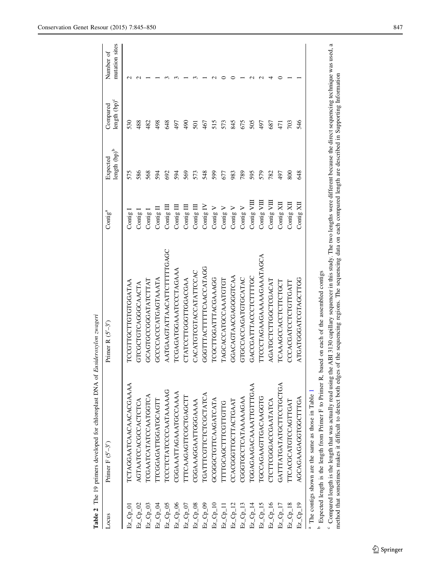<span id="page-3-0"></span>

|                 | Table 2 The 19 primers developed for chloroplast DNA of Eusideroxylon zwageri                   |                                                                                                                                                                                               |                     |                             |                                      |                             |
|-----------------|-------------------------------------------------------------------------------------------------|-----------------------------------------------------------------------------------------------------------------------------------------------------------------------------------------------|---------------------|-----------------------------|--------------------------------------|-----------------------------|
| Locus           | Primer $F(S'-3')$                                                                               | Primer R $(S'-3')$                                                                                                                                                                            | Contig <sup>a</sup> | length $(pp)^b$<br>Expected | length (bp) <sup>c</sup><br>Compared | mutation sites<br>Number of |
| $Ez_Cc_{p\_01}$ | <b>TCTAGGAATCAACAACACGAAAA</b>                                                                  | PCCCTTGCTTGTGGATAA                                                                                                                                                                            | Contig              | 575                         | 530                                  | $\sim$                      |
| $Ez_Cc_p$ _02   | AGTAATCCACGCCACTCTCA                                                                            | GTCGCTGTCAGGCAACTA                                                                                                                                                                            | Contig 1            | 586                         | 488                                  |                             |
| $Ez_Cp_03$      | TCGAATCATATCCAATGGTCA                                                                           | GCAGTGCCGATATCTTAT                                                                                                                                                                            | Contig              | 568                         | 482                                  |                             |
| $Ez_Cp_D$ 04    | <b>TTCGGAGATTGGATGCAGTT</b>                                                                     | GCCCCACCATGAGTAAATA                                                                                                                                                                           | Contig II           | 594                         | 498                                  |                             |
| $Ex_{Cp\_05}$   | TCCCTCTATCCCCAATAAAAAG                                                                          | AATGAAGTATTAACATTCTTTTTGAGC                                                                                                                                                                   | Contig III          | 692                         | 648                                  |                             |
| $Ez_Cp_06$      | CGGAAATTAGAAATGCCAAAA                                                                           | <b>TCGAGATGGAATCCCTAGAAA</b>                                                                                                                                                                  | Contig III          | 594                         | 497                                  |                             |
| $Ez_Cp_07$      | <b>ITTCAAGAGTTCGCTGAGCTT</b>                                                                    | CTATCCTTGGTTGGACGAA                                                                                                                                                                           | Contig III          | 569                         | $\overline{6}$                       |                             |
| Ez_Cp_08        | CGGAAAGGAATTGGGAAAA                                                                             | CACATGTCGTACCATATTCCAC                                                                                                                                                                        | Contig III          | 573                         | 501                                  |                             |
| Ez_Cp_09        | TGATTTCGTTCTCTCGCTATCA                                                                          | GGGTTTACTTTTCAACCATAGG                                                                                                                                                                        | Contig IV           | 548                         | 467                                  |                             |
| $Ex_{Cp\_10}$   | GCGGGCTGTTCAAGATCATA                                                                            | TCGCTTGGATTTACGAAAGG                                                                                                                                                                          | Contig V            | 599                         | 515                                  |                             |
| $Ex\_Cp\_11$    | TTTTGCAGCTTTCGTTGTTG                                                                            | TAGCACCATGCCAAATGTGT                                                                                                                                                                          | Contig V            | 677                         | 573                                  |                             |
| $Ez_Cp_12$      | CCACGGGTTGCTTACTGAAT                                                                            | GGACAGTAACGAGGGTCAA                                                                                                                                                                           | Contig V            | 983                         | 845                                  |                             |
| $Ez_Cp_13$      | CGGGTGCCTCATAAAAAGAA                                                                            | GTGCCACCAGATGTGCATAC                                                                                                                                                                          | Contig V            | 789                         | 675                                  |                             |
| $Ez_Cp_14$      | TGGAGAAGACAAAATTGTTTGAA                                                                         | GACCGATTTACCCTCTTTTGC                                                                                                                                                                         | Contig $VIII$       | 595                         | 505                                  |                             |
| $Ex_Cp_15$      | TGCCAGAAGTTGACAAGGTG                                                                            | TTCCCTAGAAGAAAAGAAATAGCA                                                                                                                                                                      | Contig VIII         | 579                         | 497                                  |                             |
| Ez_Cp_16        | CTCTTCGGGACCGAATATCA                                                                            | AGATGCTCTTGGCTCGACAT                                                                                                                                                                          | Contig VIII         | 782                         | 687                                  |                             |
| $Ez_Cp_17$      | GATTTATGATATGCTTCCTGCTGA                                                                        | TCAAAGCCACCTTCTGCT                                                                                                                                                                            | $Contig$ XII        | 497                         | 471                                  |                             |
| $Ez_Cp_18$      | TTCACGCATGTCCAGTTGAT                                                                            | CCCACGATCCTGTTGATT                                                                                                                                                                            | $Contg$ XII         | 800                         | 703                                  |                             |
| Ez_Cp_19        | AGCAGAAGAGGTGGCTTGA                                                                             | ATGATGGGATCGTAGCTTGG                                                                                                                                                                          | Contig XII          | 648                         | 546                                  |                             |
|                 | <sup>a</sup> The contigs shown are the same as those in Table 1                                 |                                                                                                                                                                                               |                     |                             |                                      |                             |
|                 | Expected length is the length from Primer F to Primer R, based on each of the assembled contigs |                                                                                                                                                                                               |                     |                             |                                      |                             |
|                 |                                                                                                 | Compared length is the length that was actually read using the ABI 3130 capillary sequencer in this study. The two lengths were different because the direct sequencing technique was used, a |                     |                             |                                      |                             |
|                 |                                                                                                 | method that sometimes makes it difficult to detect both edges of the sequencing regions. The sequencing data on each compared length are described in Supporting Information                  |                     |                             |                                      |                             |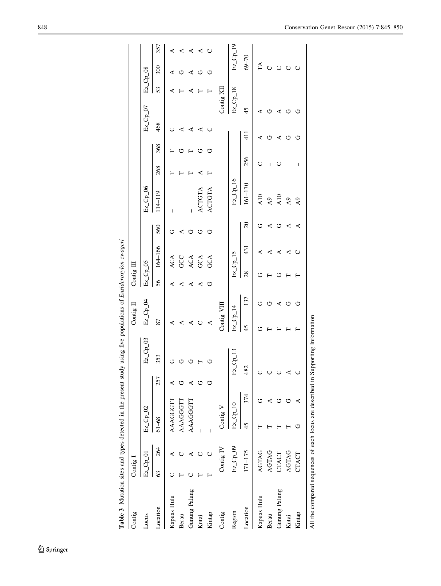<span id="page-4-0"></span>

|                                                                                  |          |                         |            |     | J           |             |     |                                   |                   |                  |                                    |     |               |            |            |             |     |
|----------------------------------------------------------------------------------|----------|-------------------------|------------|-----|-------------|-------------|-----|-----------------------------------|-------------------|------------------|------------------------------------|-----|---------------|------------|------------|-------------|-----|
| Contig                                                                           | Contig 1 |                         |            |     |             | Contig II   |     | Contig III                        |                   |                  |                                    |     |               |            |            |             |     |
| Locus                                                                            |          | $E_z$ <sub>-Cp-01</sub> | $Ez_Cp_02$ |     | $Ez_Cp_03$  | $Ez_Cp_M$   |     | $Ez$ <sub>-Cp<sub>-</sub>05</sub> |                   |                  | Ez_Cp_06                           |     |               | $Ez_Cp_07$ | $Ez_Cp_08$ |             |     |
| Location                                                                         | 63       | 264                     | $61 - 68$  | 257 | 353         | 87          |     | 56                                | 164-166           | 560              | 114-119                            | 268 | 368           | 468        | 53         | 300         | 357 |
| Kapuas Hulu                                                                      |          |                         | AAAGGGTI   |     |             |             |     | ≺                                 |                   |                  |                                    |     |               |            |            |             |     |
| Berau                                                                            |          |                         | AAAGGGTI   |     |             | ⋖           |     | ⋖                                 | ACA<br>GCC<br>ACA | ⋖                | I                                  |     |               |            |            | ن           |     |
| Gunung Palung                                                                    |          |                         | AAAGGGTT   |     |             | ⋖           |     | ⋖                                 |                   | U                | $\overline{\phantom{a}}$           |     |               |            |            | 4           | ⋖   |
| Kutai                                                                            |          |                         |            |     |             | Õ           |     | ⋖                                 | GCA               | O                | ACTGTA                             |     | ゥ             | ⋖          |            | Ù           | ⋖   |
| Kintap                                                                           |          |                         | I          |     |             | ⋖           |     | ت                                 | GCA               | Ò                | ACTGTA                             |     | ن             | ں          |            | U           | ပ   |
| Contig                                                                           |          | Contig IV               | Contig V   |     |             | Contig VIII |     |                                   |                   |                  |                                    |     |               | Contig XII |            |             |     |
| Region                                                                           |          | $Ez_Ccp_0$ 9            | $Ez_Cp_10$ |     | $Ex\_Cp\_1$ | $Ez_Ccp_14$ |     |                                   | $Ex_Ccp_15$       |                  | $E_z$ <sub>-Cp<sub>-16</sub></sub> |     |               | $Ez_Cp_18$ |            | $Ez_Ccp_19$ |     |
| Location                                                                         |          | $171 - 175$             | 374<br>45  |     | 182         | 45          | 137 | 28                                | 431               | $\overline{c}$   | $161 - 170$                        | 256 | $\frac{1}{4}$ | 45         |            | $69 - 70$   |     |
| Kapuas Hulu                                                                      |          | AGTAG                   |            |     |             |             |     | ت                                 |                   | ウ                | A10                                |     |               |            |            | FA          |     |
| Berau                                                                            |          | AGTAG                   |            |     |             |             | O   |                                   | ⋖                 | $\blacktriangle$ | $A9$                               |     |               |            |            | $\cup$      |     |
| Gunung Palung                                                                    |          | CTACT                   |            |     |             |             | ⋖   |                                   | ⋖                 | Ò                | A10                                | ◡   | ⋖             |            |            | U           |     |
| Kutai                                                                            |          | AGTAG                   |            |     |             |             | ゥ   |                                   | ⋖                 | ⋖                | A <sub>9</sub>                     |     | ゥ             |            |            | $\cup$      |     |
| Kintap                                                                           |          | CTACT                   | C          |     |             |             |     |                                   | Õ                 | ≺                | A9                                 |     |               |            |            | $\cup$      |     |
| All the compared sequences of each locus are described in Supporting Information |          |                         |            |     |             |             |     |                                   |                   |                  |                                    |     |               |            |            |             |     |

Table 3 Mutation sites and types detected in the present study using five populations of Eusideroxylon zwageri Table 3 Mutation sites and types detected in the present study using five populations of Eusideroxylon zwageri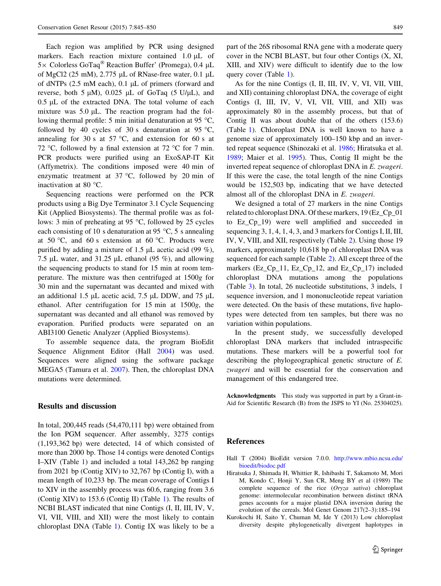<span id="page-5-0"></span>Each region was amplified by PCR using designed markers. Each reaction mixture contained  $1.0 \mu L$  of  $5 \times$  Colorless GoTaq<sup>®</sup> Reaction Buffer' (Promega), 0.4 µL of MgCl2 (25 mM),  $2.775 \mu L$  of RNase-free water,  $0.1 \mu L$ of dNTPs  $(2.5 \text{ mM each})$ ,  $(0.1 \mu L)$  of primers (forward and reverse, both 5  $\mu$ M), 0.025  $\mu$ L of GoTaq (5 U/ $\mu$ L), and  $0.5$   $\mu$ L of the extracted DNA. The total volume of each mixture was  $5.0 \mu L$ . The reaction program had the following thermal profile: 5 min initial denaturation at 95 °C, followed by 40 cycles of 30 s denaturation at 95 °C, annealing for 30 s at 57 °C, and extension for 60 s at 72 °C, followed by a final extension at 72 °C for 7 min. PCR products were purified using an ExoSAP-IT Kit (Affymetrix). The conditions imposed were 40 min of enzymatic treatment at  $37^{\circ}$ C, followed by 20 min of inactivation at 80 °C.

Sequencing reactions were performed on the PCR products using a Big Dye Terminator 3.1 Cycle Sequencing Kit (Applied Biosystems). The thermal profile was as follows: 3 min of preheating at 95  $\degree$ C, followed by 25 cycles each consisting of 10 s denaturation at 95  $\degree$ C, 5 s annealing at 50 °C, and 60 s extension at 60 °C. Products were purified by adding a mixture of 1.5  $\mu$ L acetic acid (99 %), 7.5  $\mu$ L water, and 31.25  $\mu$ L ethanol (95 %), and allowing the sequencing products to stand for 15 min at room temperature. The mixture was then centrifuged at 1500g for 30 min and the supernatant was decanted and mixed with an additional 1.5  $\mu$ L acetic acid, 7.5  $\mu$ L DDW, and 75  $\mu$ L ethanol. After centrifugation for 15 min at 1500g, the supernatant was decanted and all ethanol was removed by evaporation. Purified products were separated on an ABI3100 Genetic Analyzer (Applied Biosystems).

To assemble sequence data, the program BioEdit Sequence Alignment Editor (Hall 2004) was used. Sequences were aligned using the software package MEGA5 (Tamura et al. [2007](#page-6-0)). Then, the chloroplast DNA mutations were determined.

#### Results and discussion

In total, 200,445 reads (54,470,111 bp) were obtained from the Ion PGM sequencer. After assembly, 3275 contigs (1,193,362 bp) were detected, 14 of which consisted of more than 2000 bp. Those 14 contigs were denoted Contigs I–XIV (Table [1](#page-2-0)) and included a total 143,262 bp ranging from 2021 bp (Contig XIV) to 32,767 bp (Contig I), with a mean length of 10,233 bp. The mean coverage of Contigs I to XIV in the assembly process was 60.6, ranging from 3.6 (Contig XIV) to 153.6 (Contig II) (Table [1\)](#page-2-0). The results of NCBI BLAST indicated that nine Contigs (I, II, III, IV, V, VI, VII, VIII, and XII) were the most likely to contain chloroplast DNA (Table [1](#page-2-0)). Contig IX was likely to be a part of the 26S ribosomal RNA gene with a moderate query cover in the NCBI BLAST, but four other Contigs (X, XI, XIII, and XIV) were difficult to identify due to the low query cover (Table [1](#page-2-0)).

As for the nine Contigs (I, II, III, IV, V, VI, VII, VIII, and XII) containing chloroplast DNA, the coverage of eight Contigs (I, III, IV, V, VI, VII, VIII, and XII) was approximately 80 in the assembly process, but that of Contig II was about double that of the others (153.6) (Table [1\)](#page-2-0). Chloroplast DNA is well known to have a genome size of approximately 100–150 kbp and an inverted repeat sequence (Shinozaki et al. [1986](#page-6-0); Hiratsuka et al. 1989; Maier et al. [1995\)](#page-6-0). Thus, Contig II might be the inverted repeat sequence of chloroplast DNA in E. zwageri. If this were the case, the total length of the nine Contigs would be 152,503 bp, indicating that we have detected almost all of the chloroplast DNA in E. zwageri.

We designed a total of 27 markers in the nine Contigs related to chloroplast DNA. Of these markers, 19 (Ez\_Cp\_01 to Ez\_Cp\_19) were well amplified and succeeded in sequencing 3, 1, 4, 1, 4, 3, and 3 markers for Contigs I, II, III, IV, V, VIII, and XII, respectively (Table [2](#page-3-0)). Using those 19 markers, approximately 10,618 bp of chloroplast DNA was sequenced for each sample (Table [2\)](#page-3-0). All except three of the markers (Ez\_Cp\_11, Ez\_Cp\_12, and Ez\_Cp\_17) included chloroplast DNA mutations among the populations (Table [3\)](#page-4-0). In total, 26 nucleotide substitutions, 3 indels, 1 sequence inversion, and 1 mononucleotide repeat variation were detected. On the basis of these mutations, five haplotypes were detected from ten samples, but there was no variation within populations.

In the present study, we successfully developed chloroplast DNA markers that included intraspecific mutations. These markers will be a powerful tool for describing the phylogeographical genetic structure of E. zwageri and will be essential for the conservation and management of this endangered tree.

Acknowledgments This study was supported in part by a Grant-in-Aid for Scientific Research (B) from the JSPS to YI (No. 25304025).

#### References

- Hall T (2004) BioEdit version 7.0.0. [http://www.mbio.ncsu.edu/](http://www.mbio.ncsu.edu/bioedit/biodoc.pdf) [bioedit/biodoc.pdf](http://www.mbio.ncsu.edu/bioedit/biodoc.pdf)
- Hiratsuka J, Shimada H, Whittier R, Ishibashi T, Sakamoto M, Mori M, Kondo C, Honji Y, Sun CR, Meng BY et al (1989) The complete sequence of the rice (Oryza sativa) chloroplast genome: intermolecular recombination between distinct tRNA genes accounts for a major plastid DNA inversion during the evolution of the cereals. Mol Genet Genom 217(2–3):185–194
- Kurokochi H, Saito Y, Chuman M, Ide Y (2013) Low chloroplast diversity despite phylogenetically divergent haplotypes in